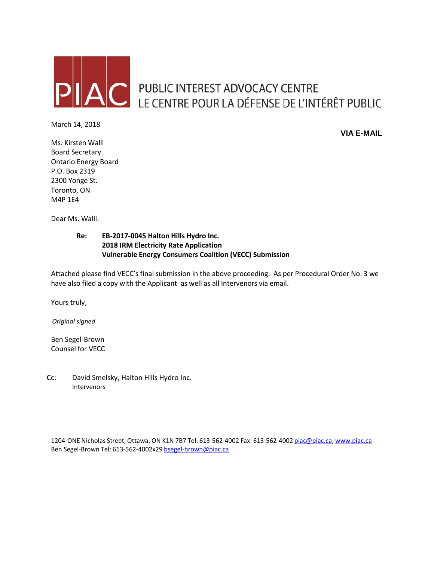

# AC PUBLIC INTEREST ADVOCACY CENTRE LE CENTRE POUR LA DÉFENSE DE L'INTÉRÊT PUBLIC

March 14, 2018

**VIA E-MAIL**

Ms. Kirsten Walli Board Secretary Ontario Energy Board P.O. Box 2319 2300 Yonge St. Toronto, ON M4P 1E4

Dear Ms. Walli:

#### **Re: EB-2017-0045 Halton Hills Hydro Inc. 2018 IRM Electricity Rate Application Vulnerable Energy Consumers Coalition (VECC) Submission**

Attached please find VECC's final submission in the above proceeding. As per Procedural Order No. 3 we have also filed a copy with the Applicant as well as all Intervenors via email.

Yours truly,

*Original signed*

Ben Segel-Brown Counsel for VECC

Cc: David Smelsky, Halton Hills Hydro Inc. Intervenors

1204-ONE Nicholas Street, Ottawa, ON K1N 7B7 Tel: 613-562-4002 Fax: 613-562-4002 [piac@piac.ca;](mailto:piac@piac.ca) [www.piac.ca](http://www.piac.ca/) Ben Segel-Brown Tel: 613-562-4002x29 [bsegel-brown@piac.ca](mailto:bsegel-brown.com)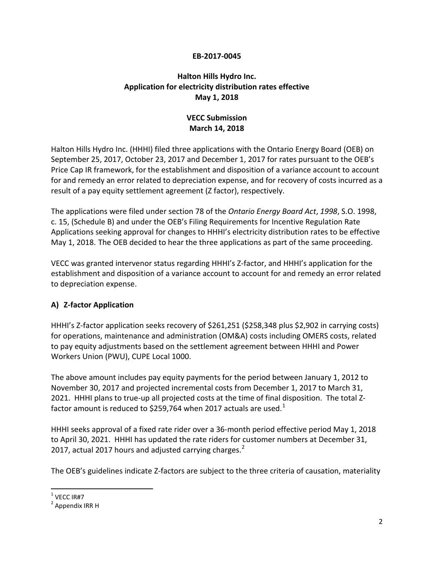#### **EB-2017-0045**

## **Halton Hills Hydro Inc. Application for electricity distribution rates effective May 1, 2018**

## **VECC Submission March 14, 2018**

Halton Hills Hydro Inc. (HHHI) filed three applications with the Ontario Energy Board (OEB) on September 25, 2017, October 23, 2017 and December 1, 2017 for rates pursuant to the OEB's Price Cap IR framework, for the establishment and disposition of a variance account to account for and remedy an error related to depreciation expense, and for recovery of costs incurred as a result of a pay equity settlement agreement (Z factor), respectively.

The applications were filed under section 78 of the *Ontario Energy Board Act*, *1998*, S.O. 1998, c. 15, (Schedule B) and under the OEB's Filing Requirements for Incentive Regulation Rate Applications seeking approval for changes to HHHI's electricity distribution rates to be effective May 1, 2018. The OEB decided to hear the three applications as part of the same proceeding.

VECC was granted intervenor status regarding HHHI's Z-factor, and HHHI's application for the establishment and disposition of a variance account to account for and remedy an error related to depreciation expense.

## **A) Z-factor Application**

HHHI's Z-factor application seeks recovery of \$261,251 (\$258,348 plus \$2,902 in carrying costs) for operations, maintenance and administration (OM&A) costs including OMERS costs, related to pay equity adjustments based on the settlement agreement between HHHI and Power Workers Union (PWU), CUPE Local 1000.

The above amount includes pay equity payments for the period between January 1, 2012 to November 30, 2017 and projected incremental costs from December 1, 2017 to March 31, 2021. HHHI plans to true-up all projected costs at the time of final disposition. The total Z-factor amount is reduced to \$259,764 when 20[1](#page-1-0)7 actuals are used.<sup>1</sup>

HHHI seeks approval of a fixed rate rider over a 36-month period effective period May 1, 2018 to April 30, 2021. HHHI has updated the rate riders for customer numbers at December 31, [2](#page-1-1)017, actual 2017 hours and adjusted carrying charges. $2^2$ 

The OEB's guidelines indicate Z-factors are subject to the three criteria of causation, materiality

<span id="page-1-0"></span> $1$  VFCC IR#7

<span id="page-1-1"></span> $2$  Appendix IRR H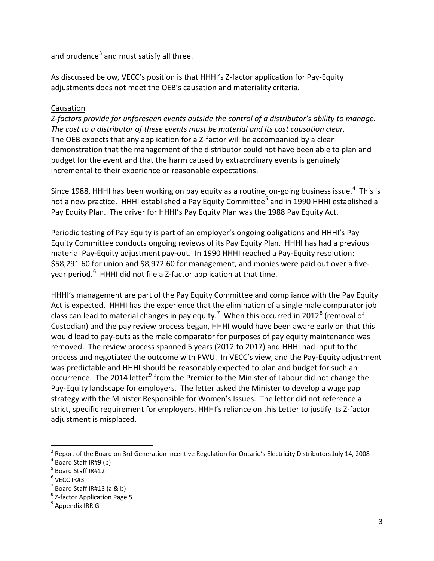and prudence<sup>[3](#page-2-0)</sup> and must satisfy all three.

As discussed below, VECC's position is that HHHI's Z-factor application for Pay-Equity adjustments does not meet the OEB's causation and materiality criteria.

## **Causation**

*Z-factors provide for unforeseen events outside the control of a distributor's ability to manage. The cost to a distributor of these events must be material and its cost causation clear.*  The OEB expects that any application for a Z-factor will be accompanied by a clear demonstration that the management of the distributor could not have been able to plan and budget for the event and that the harm caused by extraordinary events is genuinely incremental to their experience or reasonable expectations.

Since 1988, HHHI has been working on pay equity as a routine, on-going business issue.<sup>[4](#page-2-1)</sup> This is not a new practice. HHHI established a Pay Equity Committee<sup>[5](#page-2-2)</sup> and in 1990 HHHI established a Pay Equity Plan. The driver for HHHI's Pay Equity Plan was the 1988 Pay Equity Act.

Periodic testing of Pay Equity is part of an employer's ongoing obligations and HHHI's Pay Equity Committee conducts ongoing reviews of its Pay Equity Plan. HHHI has had a previous material Pay-Equity adjustment pay-out. In 1990 HHHI reached a Pay-Equity resolution: \$58,291.60 for union and \$8,972.60 for management, and monies were paid out over a five-year period.<sup>[6](#page-2-3)</sup> HHHI did not file a Z-factor application at that time.

HHHI's management are part of the Pay Equity Committee and compliance with the Pay Equity Act is expected. HHHI has the experience that the elimination of a single male comparator job class can lead to material changes in pay equity.<sup>[7](#page-2-4)</sup> When this occurred in 2012<sup>[8](#page-2-5)</sup> (removal of Custodian) and the pay review process began, HHHI would have been aware early on that this would lead to pay-outs as the male comparator for purposes of pay equity maintenance was removed. The review process spanned 5 years (2012 to 2017) and HHHI had input to the process and negotiated the outcome with PWU. In VECC's view, and the Pay-Equity adjustment was predictable and HHHI should be reasonably expected to plan and budget for such an occurrence. The 2014 letter<sup>[9](#page-2-6)</sup> from the Premier to the Minister of Labour did not change the Pay-Equity landscape for employers. The letter asked the Minister to develop a wage gap strategy with the Minister Responsible for Women's Issues. The letter did not reference a strict, specific requirement for employers. HHHI's reliance on this Letter to justify its Z-factor adjustment is misplaced.

<span id="page-2-0"></span> $3$  Report of the Board on 3rd Generation Incentive Regulation for Ontario's Electricity Distributors July 14, 2008

<span id="page-2-1"></span><sup>4</sup> Board Staff IR#9 (b)

<span id="page-2-2"></span><sup>5</sup> Board Staff IR#12

<span id="page-2-3"></span> $6$  VECC IR#3

<span id="page-2-4"></span> $<sup>7</sup>$  Board Staff IR#13 (a & b)</sup>

<span id="page-2-5"></span><sup>&</sup>lt;sup>8</sup> Z-factor Application Page 5<br><sup>9</sup> Appendix IRR G

<span id="page-2-6"></span>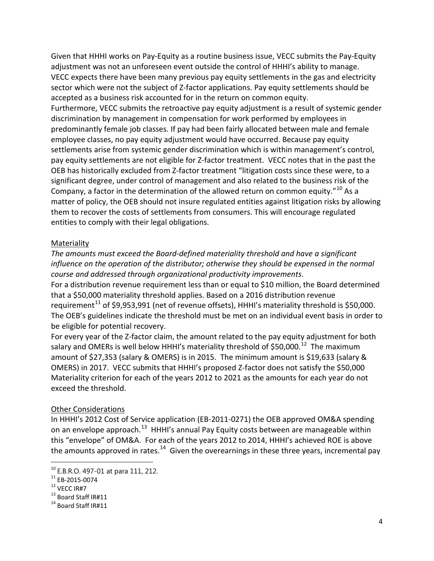Given that HHHI works on Pay-Equity as a routine business issue, VECC submits the Pay-Equity adjustment was not an unforeseen event outside the control of HHHI's ability to manage. VECC expects there have been many previous pay equity settlements in the gas and electricity sector which were not the subject of Z-factor applications. Pay equity settlements should be accepted as a business risk accounted for in the return on common equity. Furthermore, VECC submits the retroactive pay equity adjustment is a result of systemic gender discrimination by management in compensation for work performed by employees in predominantly female job classes. If pay had been fairly allocated between male and female employee classes, no pay equity adjustment would have occurred. Because pay equity settlements arise from systemic gender discrimination which is within management's control, pay equity settlements are not eligible for Z-factor treatment. VECC notes that in the past the OEB has historically excluded from Z-factor treatment "litigation costs since these were, to a significant degree, under control of management and also related to the business risk of the Company, a factor in the determination of the allowed return on common equity."<sup>[10](#page-3-0)</sup> As a matter of policy, the OEB should not insure regulated entities against litigation risks by allowing them to recover the costs of settlements from consumers. This will encourage regulated entities to comply with their legal obligations.

#### Materiality

*The amounts must exceed the Board-defined materiality threshold and have a significant influence on the operation of the distributor; otherwise they should be expensed in the normal course and addressed through organizational productivity improvements*.

For a distribution revenue requirement less than or equal to \$10 million, the Board determined that a \$50,000 materiality threshold applies. Based on a 2016 distribution revenue requirement<sup>[11](#page-3-1)</sup> of \$9,953,991 (net of revenue offsets), HHHI's materiality threshold is \$50,000. The OEB's guidelines indicate the threshold must be met on an individual event basis in order to be eligible for potential recovery.

For every year of the Z-factor claim, the amount related to the pay equity adjustment for both salary and OMERs is well below HHHI's materiality threshold of \$50,000.<sup>12</sup> The maximum amount of \$27,353 (salary & OMERS) is in 2015. The minimum amount is \$19,633 (salary & OMERS) in 2017. VECC submits that HHHI's proposed Z-factor does not satisfy the \$50,000 Materiality criterion for each of the years 2012 to 2021 as the amounts for each year do not exceed the threshold.

#### Other Considerations

In HHHI's 2012 Cost of Service application (EB-2011-0271) the OEB approved OM&A spending on an envelope approach.<sup>13</sup> HHHI's annual Pay Equity costs between are manageable within this "envelope" of OM&A. For each of the years 2012 to 2014, HHHI's achieved ROE is above the amounts approved in rates.<sup>[14](#page-3-4)</sup> Given the overearnings in these three years, incremental pay

<span id="page-3-0"></span> $10$  E.B.R.O. 497-01 at para 111, 212.

<span id="page-3-4"></span><span id="page-3-3"></span>

<span id="page-3-2"></span><span id="page-3-1"></span><sup>&</sup>lt;sup>11</sup> EB-2015-0074<br><sup>12</sup> VECC IR#7<br><sup>13</sup> Board Staff IR#11<br><sup>14</sup> Board Staff IR#11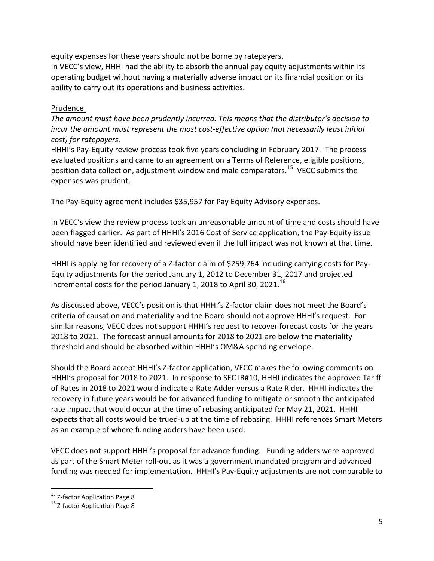equity expenses for these years should not be borne by ratepayers.

In VECC's view, HHHI had the ability to absorb the annual pay equity adjustments within its operating budget without having a materially adverse impact on its financial position or its ability to carry out its operations and business activities.

#### Prudence

*The amount must have been prudently incurred. This means that the distributor's decision to incur the amount must represent the most cost-effective option (not necessarily least initial cost) for ratepayers.*

HHHI's Pay-Equity review process took five years concluding in February 2017. The process evaluated positions and came to an agreement on a Terms of Reference, eligible positions, position data collection, adjustment window and male comparators.<sup>15</sup> VECC submits the expenses was prudent.

The Pay-Equity agreement includes \$35,957 for Pay Equity Advisory expenses.

In VECC's view the review process took an unreasonable amount of time and costs should have been flagged earlier. As part of HHHI's 2016 Cost of Service application, the Pay-Equity issue should have been identified and reviewed even if the full impact was not known at that time.

HHHI is applying for recovery of a Z-factor claim of \$259,764 including carrying costs for Pay-Equity adjustments for the period January 1, 2012 to December 31, 2017 and projected incremental costs for the period January 1, 2018 to April 30, 2021.<sup>[16](#page-4-1)</sup>

As discussed above, VECC's position is that HHHI's Z-factor claim does not meet the Board's criteria of causation and materiality and the Board should not approve HHHI's request. For similar reasons, VECC does not support HHHI's request to recover forecast costs for the years 2018 to 2021. The forecast annual amounts for 2018 to 2021 are below the materiality threshold and should be absorbed within HHHI's OM&A spending envelope.

Should the Board accept HHHI's Z-factor application, VECC makes the following comments on HHHI's proposal for 2018 to 2021. In response to SEC IR#10, HHHI indicates the approved Tariff of Rates in 2018 to 2021 would indicate a Rate Adder versus a Rate Rider. HHHI indicates the recovery in future years would be for advanced funding to mitigate or smooth the anticipated rate impact that would occur at the time of rebasing anticipated for May 21, 2021. HHHI expects that all costs would be trued-up at the time of rebasing. HHHI references Smart Meters as an example of where funding adders have been used.

VECC does not support HHHI's proposal for advance funding. Funding adders were approved as part of the Smart Meter roll-out as it was a government mandated program and advanced funding was needed for implementation. HHHI's Pay-Equity adjustments are not comparable to

<span id="page-4-0"></span><sup>&</sup>lt;sup>15</sup> Z-factor Application Page 8<br><sup>16</sup> Z-factor Application Page 8

<span id="page-4-1"></span>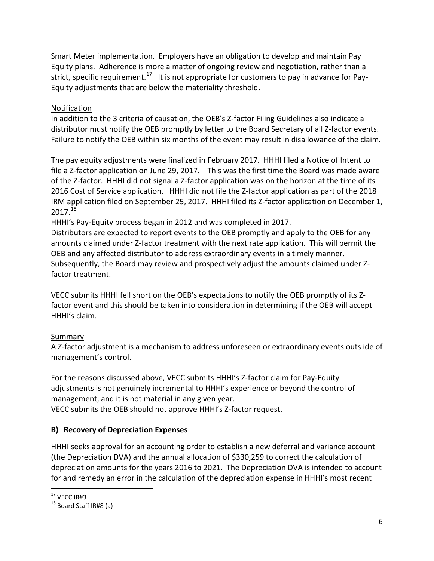Smart Meter implementation. Employers have an obligation to develop and maintain Pay Equity plans. Adherence is more a matter of ongoing review and negotiation, rather than a strict, specific requirement.<sup>17</sup> It is not appropriate for customers to pay in advance for Pay-Equity adjustments that are below the materiality threshold.

## Notification

In addition to the 3 criteria of causation, the OEB's Z-factor Filing Guidelines also indicate a distributor must notify the OEB promptly by letter to the Board Secretary of all Z-factor events. Failure to notify the OEB within six months of the event may result in disallowance of the claim.

The pay equity adjustments were finalized in February 2017. HHHI filed a Notice of Intent to file a Z-factor application on June 29, 2017. This was the first time the Board was made aware of the Z-factor. HHHI did not signal a Z-factor application was on the horizon at the time of its 2016 Cost of Service application. HHHI did not file the Z-factor application as part of the 2018 IRM application filed on September 25, 2017. HHHI filed its Z-factor application on December 1,  $2017.<sup>18</sup>$  $2017.<sup>18</sup>$  $2017.<sup>18</sup>$ 

HHHI's Pay-Equity process began in 2012 and was completed in 2017.

Distributors are expected to report events to the OEB promptly and apply to the OEB for any amounts claimed under Z-factor treatment with the next rate application. This will permit the OEB and any affected distributor to address extraordinary events in a timely manner. Subsequently, the Board may review and prospectively adjust the amounts claimed under Zfactor treatment.

VECC submits HHHI fell short on the OEB's expectations to notify the OEB promptly of its Zfactor event and this should be taken into consideration in determining if the OEB will accept HHHI's claim.

# **Summary**

A Z-factor adjustment is a mechanism to address unforeseen or extraordinary events outs ide of management's control.

For the reasons discussed above, VECC submits HHHI's Z-factor claim for Pay-Equity adjustments is not genuinely incremental to HHHI's experience or beyond the control of management, and it is not material in any given year.

VECC submits the OEB should not approve HHHI's Z-factor request.

# **B) Recovery of Depreciation Expenses**

HHHI seeks approval for an accounting order to establish a new deferral and variance account (the Depreciation DVA) and the annual allocation of \$330,259 to correct the calculation of depreciation amounts for the years 2016 to 2021. The Depreciation DVA is intended to account for and remedy an error in the calculation of the depreciation expense in HHHI's most recent

<span id="page-5-1"></span><span id="page-5-0"></span>

 $17$  VECC IR#3<br> $18$  Board Staff IR#8 (a)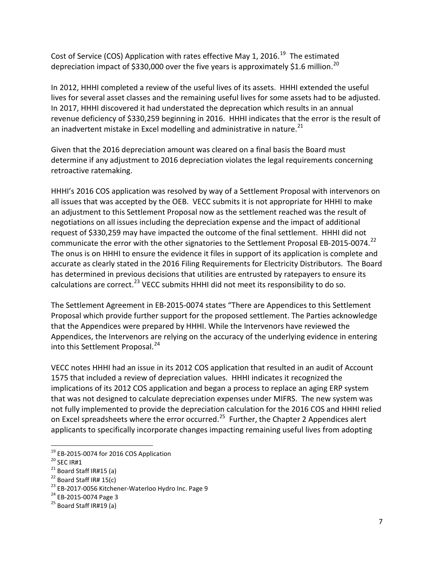Cost of Service (COS) Application with rates effective May 1, 2016.<sup>[19](#page-6-0)</sup> The estimated depreciation impact of \$330,000 over the five years is approximately \$1.6 million.<sup>[20](#page-6-1)</sup>

In 2012, HHHI completed a review of the useful lives of its assets. HHHI extended the useful lives for several asset classes and the remaining useful lives for some assets had to be adjusted. In 2017, HHHI discovered it had understated the deprecation which results in an annual revenue deficiency of \$330,259 beginning in 2016. HHHI indicates that the error is the result of an inadvertent mistake in Excel modelling and administrative in nature. $^{21}$  $^{21}$  $^{21}$ 

Given that the 2016 depreciation amount was cleared on a final basis the Board must determine if any adjustment to 2016 depreciation violates the legal requirements concerning retroactive ratemaking.

HHHI's 2016 COS application was resolved by way of a Settlement Proposal with intervenors on all issues that was accepted by the OEB. VECC submits it is not appropriate for HHHI to make an adjustment to this Settlement Proposal now as the settlement reached was the result of negotiations on all issues including the depreciation expense and the impact of additional request of \$330,259 may have impacted the outcome of the final settlement. HHHI did not communicate the error with the other signatories to the Settlement Proposal EB-2015-0074.<sup>[22](#page-6-3)</sup> The onus is on HHHI to ensure the evidence it files in support of its application is complete and accurate as clearly stated in the 2016 Filing Requirements for Electricity Distributors. The Board has determined in previous decisions that utilities are entrusted by ratepayers to ensure its calculations are correct.<sup>[23](#page-6-4)</sup> VECC submits HHHI did not meet its responsibility to do so.

The Settlement Agreement in EB-2015-0074 states "There are Appendices to this Settlement Proposal which provide further support for the proposed settlement. The Parties acknowledge that the Appendices were prepared by HHHI. While the Intervenors have reviewed the Appendices, the Intervenors are relying on the accuracy of the underlying evidence in entering into this Settlement Proposal.<sup>[24](#page-6-5)</sup>

VECC notes HHHI had an issue in its 2012 COS application that resulted in an audit of Account 1575 that included a review of depreciation values. HHHI indicates it recognized the implications of its 2012 COS application and began a process to replace an aging ERP system that was not designed to calculate depreciation expenses under MIFRS. The new system was not fully implemented to provide the depreciation calculation for the 2016 COS and HHHI relied on Excel spreadsheets where the error occurred.<sup>25</sup> Further, the Chapter 2 Appendices alert applicants to specifically incorporate changes impacting remaining useful lives from adopting

<span id="page-6-2"></span>

<span id="page-6-4"></span><span id="page-6-3"></span>

<span id="page-6-1"></span><span id="page-6-0"></span><sup>&</sup>lt;sup>19</sup> EB-2015-0074 for 2016 COS Application<br>
<sup>20</sup> SEC IR#1<br>
<sup>21</sup> Board Staff IR#15 (a)<br>
<sup>22</sup> Board Staff IR# 15(c)<br>
<sup>23</sup> EB-2017-0056 Kitchener-Waterloo Hydro Inc. Page 9<br>
<sup>24</sup> EB-2015-0074 Page 3<br>
<sup>25</sup> Board Staff IR#19 (

<span id="page-6-5"></span>

<span id="page-6-6"></span>